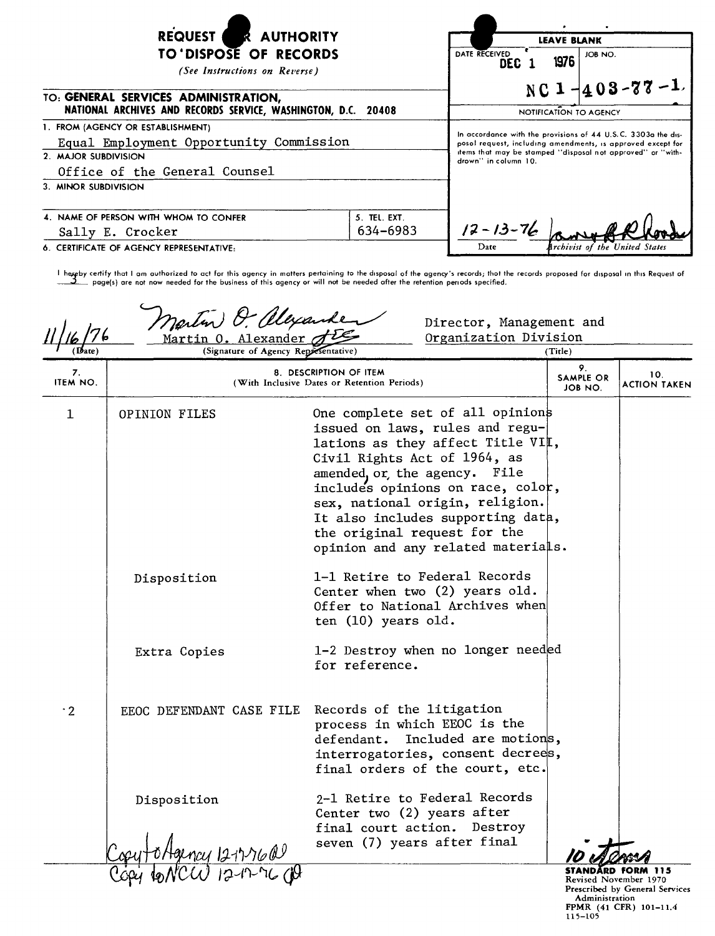| <b>REQUEST</b><br><b>R AUTHORITY</b><br>TO'DISPOSE OF RECORDS<br>(See Instructions on Reverse)                                        | <b>LEAVE BLANK</b><br>DATE RECEIVED<br>JOB NO.<br>1976<br><b>DEC</b><br>NC $1 - 403 - 77 - 1$                                                                                                                       |                                        |  |
|---------------------------------------------------------------------------------------------------------------------------------------|---------------------------------------------------------------------------------------------------------------------------------------------------------------------------------------------------------------------|----------------------------------------|--|
| TO: GENERAL SERVICES ADMINISTRATION,<br>NATIONAL ARCHIVES AND RECORDS SERVICE, WASHINGTON, D.C. 20408                                 |                                                                                                                                                                                                                     | NOTIFICATION TO AGENCY                 |  |
| 1. FROM (AGENCY OR ESTABLISHMENT)<br>Equal Employment Opportunity Commission<br>2. MAJOR SUBDIVISION<br>Office of the General Counsel | In accordance with the provisions of 44 U.S.C. 3303a the dis-<br>posol request, including amendments, is approved except for<br>items that may be stamped "disposal not approved" or "with-<br>drown" in column 10. |                                        |  |
| 3. MINOR SUBDIVISION                                                                                                                  |                                                                                                                                                                                                                     |                                        |  |
| 4. NAME OF PERSON WITH WHOM TO CONFER<br>Sally E. Crocker                                                                             | 5. TEL. EXT.<br>634-6983                                                                                                                                                                                            | $12 - 13 - 76$                         |  |
| 6. CERTIFICATE OF AGENCY REPRESENTATIVE:                                                                                              |                                                                                                                                                                                                                     | Date<br>Archivist of the United States |  |

I hereby certify that I am authorized to act for this agency in matters pertaining to the disposal of the agency's records; thot the records proposed for disposal in this Request of ~ page(s) are not now needed for the business of this agency or will not be needed after the retention pen ods specified.

Director, Management and Organization Division *r* phte Martin 0. Alexander *(Title)* 0rganization Division Division (Signature of Agency Representative) 9. 8. DESCRIPTION OF ITEM SAMPLE OR 10.<br>ITEM NO. 10. ITEM NO. INCLUSIVE Dates or Retention Periods) JOB NO. ACTION TAKEN 1 OPINION FILES One complete set of all opinion issued on laws, rules and regulations as they affect Title VI $\mathop{\llcorner}$  , Civil Rights Act of 1964, as amended, or, the agency. File includes opinions on race, colo , sex, national origin, religion. It also includes supporting dat , the original request for the opinion and any related materia s. Disposition 1-1 Retire to Federal Records Center when two (2) years old. Offer to National Archives when ten (10) years old. Extra Copies 1-2 Destroy when no longer need d for reference. ·2 EEOC DEFENDANT CASE FILE Records of the litigation process in which EEOC is the defendant. Included are motions, interrogatories, consent decrees, final orders of the court, etc. Disposition 2-1 Retire to Federal Records Center two (2) years after final court action. Destroy seven (7) years after final STANDARD FORM 115 Revised November 1970

Prescribed by General Services Administration FPMR (41 CFR) 101-11.<br>115-105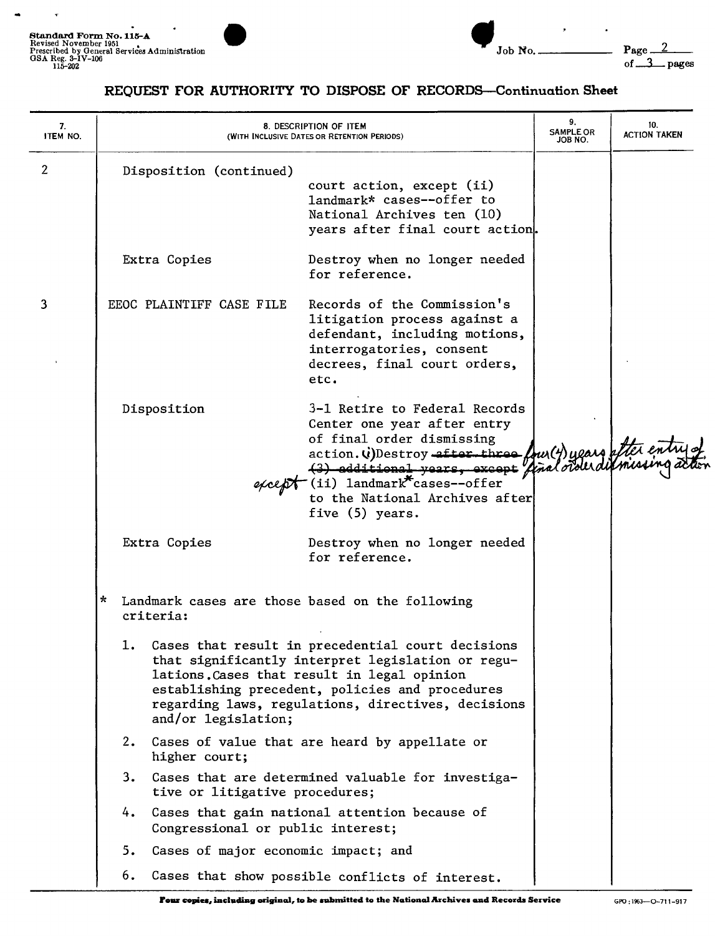

 $\bullet$ 

 $\mathbf{r}$ 



 $\cdot$ 

## REQUEST FOR AUTHORITY TO DISPOSE OF RECORDS-Continuation Sheet

| 7.<br>ITEM NO. |                                                                                                                                                                                                                                                                                             | 8. DESCRIPTION OF ITEM<br>(WITH INCLUSIVE DATES OR RETENTION PERIODS)               |                                                                                                                                                                                                                                                                                                                                    | 9.<br><b>SAMPLE OR</b><br>JOB NO. | 10.<br><b>ACTION TAKEN</b> |
|----------------|---------------------------------------------------------------------------------------------------------------------------------------------------------------------------------------------------------------------------------------------------------------------------------------------|-------------------------------------------------------------------------------------|------------------------------------------------------------------------------------------------------------------------------------------------------------------------------------------------------------------------------------------------------------------------------------------------------------------------------------|-----------------------------------|----------------------------|
| $\overline{2}$ |                                                                                                                                                                                                                                                                                             | Disposition (continued)<br>Extra Copies                                             | court action, except (ii)<br>landmark* cases--offer to<br>National Archives ten (10)<br>years after final court action.<br>Destroy when no longer needed                                                                                                                                                                           |                                   |                            |
| 3              |                                                                                                                                                                                                                                                                                             | EEOC PLAINTIFF CASE FILE                                                            | for reference.<br>Records of the Commission's<br>litigation process against a<br>defendant, including motions,<br>interrogatories, consent<br>decrees, final court orders,<br>etc.                                                                                                                                                 |                                   |                            |
|                |                                                                                                                                                                                                                                                                                             | Disposition                                                                         | 3-1 Retire to Federal Records<br>Center one year after entry<br>of final order dismissing<br>action. (i) Destroy after three foult) years after entry of<br>(3) additional years, except final order difinishing acts<br><sup>-</sup> (ii) 1andmark <sup>*</sup> cases--offer<br>to the National Archives after<br>five (5) years. |                                   |                            |
|                |                                                                                                                                                                                                                                                                                             | Extra Copies                                                                        | Destroy when no longer needed<br>for reference.                                                                                                                                                                                                                                                                                    |                                   |                            |
|                | Landmark cases are those based on the following<br>$\mathbf x$<br>criteria:                                                                                                                                                                                                                 |                                                                                     |                                                                                                                                                                                                                                                                                                                                    |                                   |                            |
|                | Cases that result in precedential court decisions<br>ı.<br>that significantly interpret legislation or regu-<br>lations. Cases that result in legal opinion<br>establishing precedent, policies and procedures<br>regarding laws, regulations, directives, decisions<br>and/or legislation; |                                                                                     |                                                                                                                                                                                                                                                                                                                                    |                                   |                            |
|                |                                                                                                                                                                                                                                                                                             | 2. Cases of value that are heard by appellate or<br>higher court;                   |                                                                                                                                                                                                                                                                                                                                    |                                   |                            |
|                | 3.                                                                                                                                                                                                                                                                                          | Cases that are determined valuable for investiga-<br>tive or litigative procedures; |                                                                                                                                                                                                                                                                                                                                    |                                   |                            |
|                | 4.                                                                                                                                                                                                                                                                                          | Cases that gain national attention because of<br>Congressional or public interest;  |                                                                                                                                                                                                                                                                                                                                    |                                   |                            |
|                | 5.                                                                                                                                                                                                                                                                                          | Cases of major economic impact; and                                                 |                                                                                                                                                                                                                                                                                                                                    |                                   |                            |
|                | 6.                                                                                                                                                                                                                                                                                          |                                                                                     | Cases that show possible conflicts of interest.                                                                                                                                                                                                                                                                                    |                                   |                            |